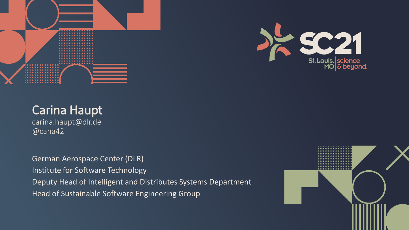



carina.haupt@dlr.de @caha42

German Aerospace Center (DLR) Institute for Software Technology Deputy Head of Intelligent and Distributes Systems Department Head of Sustainable Software Engineering Group

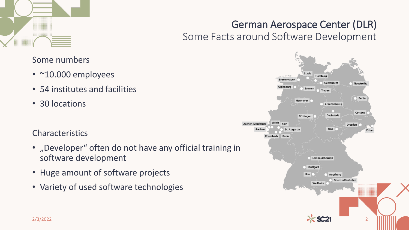

## German Aerospace Center (DLR) Some Facts around Software Development

Hamburg **Bremerhaver** Geesthacht Neustrelitz Oldenburg **Bremen** Trauen Berlin Hannover **Braunschweig** Cottbus Göttingen Cochstedt Jülich Aachen-Merzbrück Köln **Dresden St. Augustin** Jena Aache Zittau Rheinhach Bonn Lampoldshausen Stuttgart Ulm Augsburg Oberpfaffenhofen Weilhein 2/3/2022 2

### Some numbers

- ~10.000 employees
- 54 institutes and facilities
- 30 locations

#### Characteristics

- "Developer" often do not have any official training in software development
- Huge amount of software projects
- Variety of used software technologies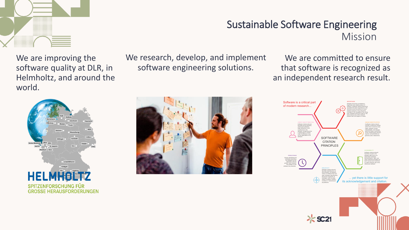

We are improving the software quality at DLR, in Helmholtz, and around the world.

# HEL **SPITZENFORSCHUNG FÜR GROSSE HERAUSFORDERUNGEN**

We research, develop, and implement software engineering solutions.

## Sustainable Software Engineering Mission

We are committed to ensure that software is recognized as an independent research result.



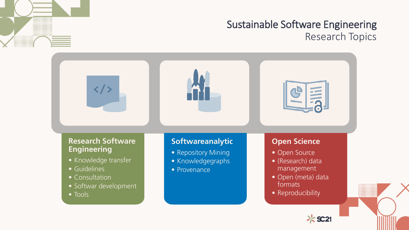

## Sustainable Software Engineering Research Topics